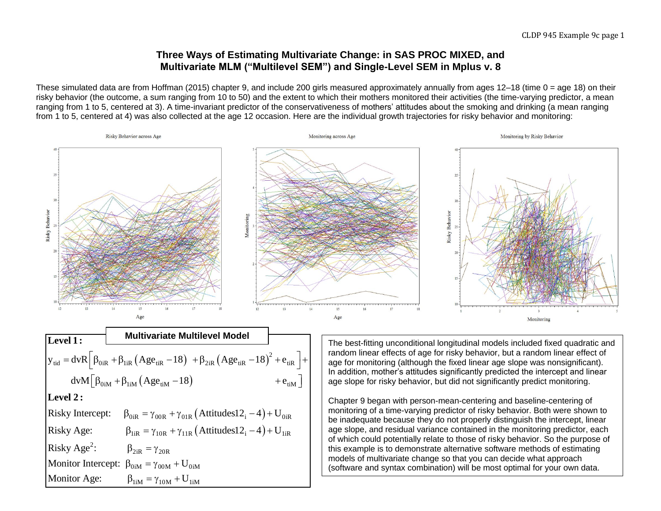## **Three Ways of Estimating Multivariate Change: in SAS PROC MIXED, and Multivariate MLM ("Multilevel SEM") and Single-Level SEM in Mplus v. 8**

These simulated data are from Hoffman (2015) chapter 9, and include 200 girls measured approximately annually from ages 12–18 (time 0 = age 18) on their risky behavior (the outcome, a sum ranging from 10 to 50) and the extent to which their mothers monitored their activities (the time-varying predictor, a mean ranging from 1 to 5, centered at 3). A time-invariant predictor of the conservativeness of mothers' attitudes about the smoking and drinking (a mean ranging from 1 to 5, centered at 4) was also collected at the age 12 occasion. Here are the individual growth trajectories for risky behavior and monitoring:

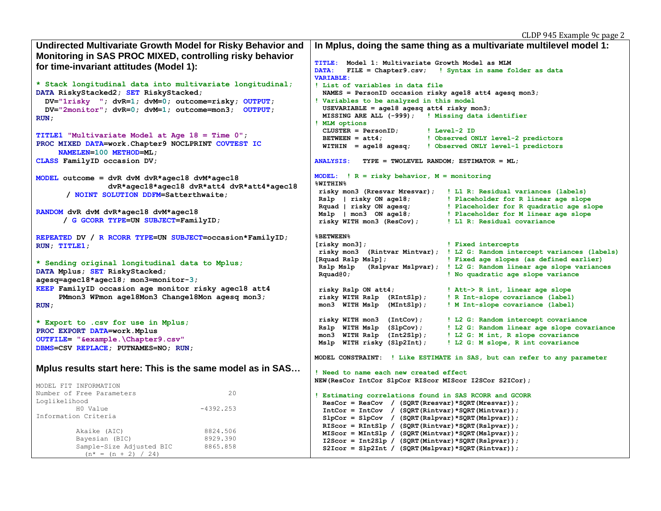| Undirected Multivariate Growth Model for Risky Behavior and        | In Mplus, doing the same thing as a multivariate multilevel model 1:                                                                       |  |  |  |  |  |  |
|--------------------------------------------------------------------|--------------------------------------------------------------------------------------------------------------------------------------------|--|--|--|--|--|--|
| Monitoring in SAS PROC MIXED, controlling risky behavior           |                                                                                                                                            |  |  |  |  |  |  |
| for time-invariant attitudes (Model 1):                            | Model 1: Multivariate Growth Model as MLM<br><b>TITLE:</b>                                                                                 |  |  |  |  |  |  |
|                                                                    | DATA:<br>FILE = Chapter9.csv; ! Syntax in same folder as data                                                                              |  |  |  |  |  |  |
| * Stack longitudinal data into multivariate longitudinal;          | <b>VARIABLE:</b><br>! List of variables in data file                                                                                       |  |  |  |  |  |  |
| DATA RiskyStacked2; SET RiskyStacked;                              | NAMES = PersonID occasion risky age18 att4 agesq mon3;                                                                                     |  |  |  |  |  |  |
| $DV = "1risky "; dvR=1; dvM=0; outcome = risky; OUTPUT;$           | ! Variables to be analyzed in this model                                                                                                   |  |  |  |  |  |  |
| $DV = "2monitor"; dvr = 0; dvm = 1; outcome = mon3; OUTPUT;$       | USEVARIABLE = $aqe18$ agesq att4 risky mon3;                                                                                               |  |  |  |  |  |  |
| RUN ;                                                              | MISSING ARE ALL (-999); ! Missing data identifier                                                                                          |  |  |  |  |  |  |
|                                                                    | ! MLM options                                                                                                                              |  |  |  |  |  |  |
| TITLE1 "Multivariate Model at Age $18 =$ Time $0$ ";               | $CLUSTER = PersonID;$<br>! Level-2 ID                                                                                                      |  |  |  |  |  |  |
| PROC MIXED DATA=work. Chapter9 NOCLPRINT COVTEST IC                | $BETWERN = att4;$<br>! Observed ONLY level-2 predictors<br>$WITHIN = age18 agesq;$<br>! Observed ONLY level-1 predictors                   |  |  |  |  |  |  |
| NAMELEN=100 METHOD=ML;                                             |                                                                                                                                            |  |  |  |  |  |  |
| CLASS FamilyID occasion DV;                                        | <b>ANALYSIS:</b><br>TYPE = TWOLEVEL RANDOM; ESTIMATOR = $ML$ ;                                                                             |  |  |  |  |  |  |
|                                                                    |                                                                                                                                            |  |  |  |  |  |  |
| MODEL outcome = dvR dvM dvR*agec18 dvM*agec18                      | MODEL: $\vert R =$ risky behavior, $M =$ monitoring                                                                                        |  |  |  |  |  |  |
| dvR*agec18*agec18 dvR*att4 dvR*att4*agec18                         | <b>%WITHIN%</b>                                                                                                                            |  |  |  |  |  |  |
| / NOINT SOLUTION DDFM=Satterthwaite;                               | risky mon3 (Rresvar Mresvar); ! L1 R: Residual variances (labels)<br>Rslp   risky ON age18;<br>! Placeholder for R linear age slope        |  |  |  |  |  |  |
|                                                                    | Rquad   risky ON agesq;   Placeholder for R quadratic age slope                                                                            |  |  |  |  |  |  |
| RANDOM dvR dvM dvR*agec18 dvM*agec18                               | Mslp   mon3 ON age18;<br>Placeholder for M linear age slope                                                                                |  |  |  |  |  |  |
| / G GCORR TYPE=UN SUBJECT=FamilyID;                                | risky WITH mon3 (ResCov);<br>! L1 R: Residual covariance                                                                                   |  |  |  |  |  |  |
|                                                                    |                                                                                                                                            |  |  |  |  |  |  |
| REPEATED DV / R RCORR TYPE=UN SUBJECT=occasion*FamilyID;           | <b>&amp;BETWEEN&amp;</b>                                                                                                                   |  |  |  |  |  |  |
| RUN; TITLE1;                                                       | $[{\rm risky~mon3}]$ ;<br>! Fixed intercepts                                                                                               |  |  |  |  |  |  |
|                                                                    | risky mon3 (Rintvar Mintvar); ! L2 G: Random intercept variances (labels)<br>! Fixed age slopes (as defined earlier)<br>[Rquad Rslp Mslp]; |  |  |  |  |  |  |
| * Sending original longitudinal data to Mplus;                     | Rslp Mslp<br>(Rslpvar Mslpvar); ! L2 G: Random linear age slope variances                                                                  |  |  |  |  |  |  |
| DATA Mplus; SET RiskyStacked;                                      | Rquad@0;<br>! No quadratic age slope variance                                                                                              |  |  |  |  |  |  |
| $aqesq=aqec18*aqec18$ ; mon3=monitor-3;                            |                                                                                                                                            |  |  |  |  |  |  |
| KEEP FamilyID occasion age monitor risky agec18 att4               | risky Rslp ON att4;<br>! Att-> R int, linear age slope                                                                                     |  |  |  |  |  |  |
| PMmon3 WPmon age18Mon3 Change18Mon agesq mon3;                     | risky WITH Rslp (RIntSlp);<br>! R Int-slope covariance (label)                                                                             |  |  |  |  |  |  |
| RUN;                                                               | mon3 WITH Mslp (MIntSlp);<br>! M Int-slope covariance (label)                                                                              |  |  |  |  |  |  |
|                                                                    | risky WITH mon3 (IntCov);<br>! L2 G: Random intercept covariance                                                                           |  |  |  |  |  |  |
| * Export to .csv for use in Mplus;<br>PROC EXPORT DATA=work. Mplus | Rslp WITH Mslp (SlpCov);<br>! L2 G: Random linear age slope covariance                                                                     |  |  |  |  |  |  |
| OUTFILE= "&example.\Chapter9.csv"                                  | mon3 WITH Rslp (Int2Slp);<br>! L2 G: M int, R slope covariance                                                                             |  |  |  |  |  |  |
| DBMS=CSV REPLACE; PUTNAMES=NO; RUN;                                | Mslp WITH risky (Slp2Int);<br>! L2 G: M slope, R int covariance                                                                            |  |  |  |  |  |  |
|                                                                    |                                                                                                                                            |  |  |  |  |  |  |
|                                                                    | MODEL CONSTRAINT: ! Like ESTIMATE in SAS, but can refer to any parameter                                                                   |  |  |  |  |  |  |
| Mplus results start here: This is the same model as in SAS         | ! Need to name each new created effect                                                                                                     |  |  |  |  |  |  |
|                                                                    | NEW (ResCor IntCor SlpCor RIScor MIScor I2SCor S2ICor) ;                                                                                   |  |  |  |  |  |  |
| MODEL FIT INFORMATION                                              |                                                                                                                                            |  |  |  |  |  |  |
| Number of Free Parameters<br>20<br>Loglikelihood                   | ! Estimating correlations found in SAS RCORR and GCORR                                                                                     |  |  |  |  |  |  |
| H0 Value<br>$-4392.253$                                            | $ResCor = ResCov / (SQRT(Rresvar)*SQRT(Mresvar));$                                                                                         |  |  |  |  |  |  |
| Information Criteria                                               | $IntCor = IntCov / (SQRT(Rintvar)*SQRT(Mintvar));$<br>$SlpCor = SlpCov / (SQRT(Rslpvar)*SQRT(Mslpvar));$                                   |  |  |  |  |  |  |
|                                                                    | RIScor = RIntSlp / (SQRT(Rintvar)*SQRT(Rslpvar));                                                                                          |  |  |  |  |  |  |
| 8824.506<br>Akaike (AIC)                                           | $MIScor = MIntSlp / (SQRT(Mintvar)*SQRT(Mslpvar));$                                                                                        |  |  |  |  |  |  |
| 8929.390<br>Bayesian (BIC)                                         | $12Scor = Int2S1p / (SQRT(Mintvar)*SQRT(Rslpvar));$                                                                                        |  |  |  |  |  |  |
| 8865.858<br>Sample-Size Adjusted BIC<br>$(n^* = (n + 2) / 24)$     | $S2Icor = S1p2Int / (SQRT(Mslpvar) *SQRT(Rintvar));$                                                                                       |  |  |  |  |  |  |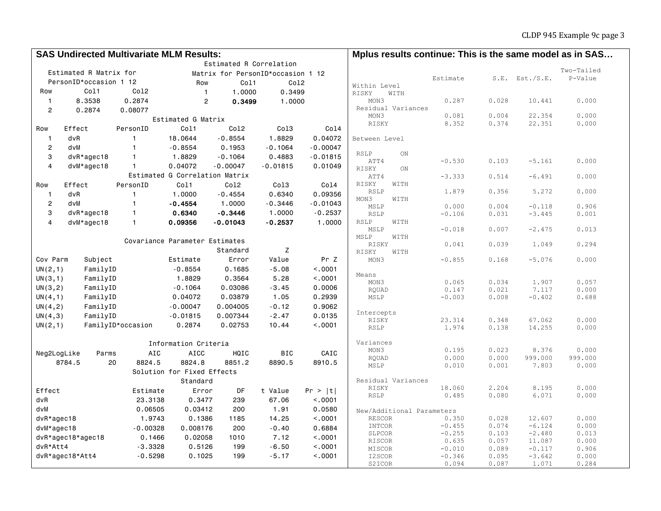|                  | <b>SAS Undirected Multivariate MLM Results:</b> |                   |                                |                                   |            |            | Mplus results continue: This is the same model as in SAS |                      |                |                      |                  |  |
|------------------|-------------------------------------------------|-------------------|--------------------------------|-----------------------------------|------------|------------|----------------------------------------------------------|----------------------|----------------|----------------------|------------------|--|
|                  |                                                 |                   |                                | Estimated R Correlation           |            |            |                                                          |                      |                |                      |                  |  |
|                  | Estimated R Matrix for                          |                   |                                | Matrix for PersonID*occasion 1 12 |            |            |                                                          |                      |                |                      | Two-Tailed       |  |
|                  | PersonID*occasion 1 12                          |                   | Row                            | Col1                              | Co12       |            | Within Level                                             | Estimate             |                | $S.E.$ Est./S.E.     | P-Value          |  |
| Row              | Col1                                            | Co12              | $\overline{1}$                 | 1.0000                            | 0.3499     |            | RISKY<br>WITH                                            |                      |                |                      |                  |  |
| $\mathbf{1}$     | 8.3538                                          | 0.2874            | $\overline{2}$                 | 0.3499                            | 1.0000     |            | MON3                                                     | 0.287                | 0.028          | 10.441               | 0.000            |  |
| $\overline{c}$   | 0.2874                                          | 0.08077           |                                |                                   |            |            | Residual Variances                                       |                      |                |                      |                  |  |
|                  |                                                 |                   | Estimated G Matrix             |                                   |            |            | MON3                                                     | 0.081                | 0.004          | 22.354               | 0.000            |  |
| Row              | Effect                                          | PersonID          | Col1                           | Co12                              | Co13       | Col4       | RISKY                                                    | 8.352                | 0.374          | 22.351               | 0.000            |  |
| $\overline{1}$   | dvR                                             | $\mathbf{1}$      | 18.0644                        | $-0.8554$                         | 1.8829     | 0.04072    | Between Level                                            |                      |                |                      |                  |  |
| $\boldsymbol{2}$ | dvM                                             | $\mathbf{1}$      | $-0.8554$                      | 0.1953                            | $-0.1064$  | $-0.00047$ |                                                          |                      |                |                      |                  |  |
| 3                | $dvR*agec18$                                    | $\mathbf{1}$      | 1.8829                         | $-0.1064$                         | 0.4883     | $-0.01815$ | RSLP<br>ON                                               |                      |                |                      |                  |  |
| $\overline{4}$   | $dvM*agec18$                                    | $\mathbf{1}$      | 0.04072                        | $-0.00047$                        | $-0.01815$ | 0.01049    | ATT4                                                     | $-0.530$             | 0.103          | $-5.161$             | 0.000            |  |
|                  |                                                 |                   | Estimated G Correlation Matrix |                                   |            |            | RISKY<br>ON<br>ATT4                                      | $-3.333$             | 0.514          | $-6.491$             | 0.000            |  |
| Row              | Effect                                          | PersonID          | Col1                           | Co12                              | Co13       | Co14       | RISKY<br>WITH                                            |                      |                |                      |                  |  |
| $\overline{1}$   | dvR                                             | $\mathbf{1}$      | 1.0000                         | $-0.4554$                         | 0.6340     | 0.09356    | <b>RSLP</b>                                              | 1.879                | 0.356          | 5.272                | 0.000            |  |
| $\boldsymbol{2}$ | dvM                                             | $\mathbf{1}$      | $-0.4554$                      | 1.0000                            | $-0.3446$  | $-0.01043$ | MON3<br>WITH                                             |                      |                |                      |                  |  |
| 3                | $dvR*agec18$                                    | $\mathbf{1}$      | 0.6340                         | $-0.3446$                         | 1,0000     | $-0.2537$  | MSLP                                                     | 0.000                | 0.004          | $-0.118$             | 0.906            |  |
| $\overline{4}$   | $dvM*agec18$                                    | $\mathbf{1}$      | 0.09356                        |                                   | $-0.2537$  |            | RSLP<br>RSLP<br>WITH                                     | $-0.106$             | 0.031          | $-3.445$             | 0.001            |  |
|                  |                                                 |                   |                                | $-0.01043$                        |            | 1.0000     | MSLP                                                     | $-0.018$             | 0.007          | $-2.475$             | 0.013            |  |
|                  |                                                 |                   |                                |                                   |            |            | MSLP<br>WITH                                             |                      |                |                      |                  |  |
|                  |                                                 |                   | Covariance Parameter Estimates |                                   |            |            | RISKY                                                    | 0.041                | 0.039          | 1.049                | 0.294            |  |
|                  |                                                 |                   |                                | Standard                          | Z          |            | RISKY<br>WITH                                            |                      |                |                      |                  |  |
| Cov Parm         | Subject                                         |                   | Estimate                       | Error                             | Value      | Pr Z       | MON3                                                     | $-0.855$             | 0.168          | $-5.076$             | 0.000            |  |
| UN(2,1)          | FamilyID                                        |                   | $-0.8554$                      | 0.1685                            | $-5.08$    | < .0001    | Means                                                    |                      |                |                      |                  |  |
| UN(3,1)          | FamilyID                                        |                   | 1.8829                         | 0.3564                            | 5.28       | < .0001    | MON3                                                     | 0.065                | 0.034          | 1.907                | 0.057            |  |
| UN(3,2)          | FamilyID                                        |                   | $-0.1064$                      | 0.03086                           | $-3.45$    | 0.0006     | RQUAD                                                    | 0.147                | 0.021          | 7.117                | 0.000            |  |
| UN(4,1)          | FamilyID                                        |                   | 0.04072                        | 0.03879                           | 1.05       | 0.2939     | MSLP                                                     | $-0.003$             | 0.008          | $-0.402$             | 0.688            |  |
| UN(4,2)          | FamilyID                                        |                   | $-0.00047$                     | 0.004005                          | $-0.12$    | 0.9062     |                                                          |                      |                |                      |                  |  |
| UN(4,3)          | FamilyID                                        |                   | $-0.01815$                     | 0.007344                          | $-2.47$    | 0.0135     | Intercepts<br>RISKY                                      | 23.314               | 0.348          | 67.062               | 0.000            |  |
| UN(2,1)          |                                                 | FamilyID*occasion | 0.2874                         | 0.02753                           | 10.44      | < 0.001    | <b>RSLP</b>                                              | 1.974                | 0.138          | 14.255               | 0.000            |  |
|                  |                                                 |                   |                                |                                   |            |            |                                                          |                      |                |                      |                  |  |
|                  |                                                 |                   | Information Criteria           |                                   |            |            | Variances                                                |                      |                |                      |                  |  |
| Neg2LogLike      | Parms                                           | AIC               | <b>AICC</b>                    | HQIC                              | <b>BIC</b> | CAIC       | MON3                                                     | 0.195                | 0.023          | 8.376<br>999.000     | 0.000<br>999.000 |  |
|                  | 8784.5<br>20                                    | 8824.5            | 8824.8                         | 8851.2                            | 8890.5     | 8910.5     | RQUAD<br>MSLP                                            | 0.000<br>0.010       | 0.000<br>0.001 | 7.803                | 0.000            |  |
|                  |                                                 |                   | Solution for Fixed Effects     |                                   |            |            |                                                          |                      |                |                      |                  |  |
|                  |                                                 |                   | Standard                       |                                   |            |            | Residual Variances                                       |                      |                |                      |                  |  |
| Effect           |                                                 | Estimate          | Error                          | DF                                | t Value    | Pr >  t    | RISKY                                                    | 18.060               | 2.204          | 8.195                | 0.000            |  |
| dvR              |                                                 | 23.3138           | 0.3477                         | 239                               | 67.06      | < .0001    | RSLP                                                     | 0.485                | 0.080          | 6.071                | 0.000            |  |
| dvM              |                                                 | 0.06505           | 0.03412                        | 200                               | 1.91       | 0.0580     | New/Additional Parameters                                |                      |                |                      |                  |  |
| $dvR*agec18$     |                                                 | 1.9743            | 0.1386                         | 1185                              | 14.25      | < .0001    | RESCOR                                                   | 0.350                | 0.028          | 12.607               | 0.000            |  |
| dvM*agec18       |                                                 | $-0.00328$        | 0.008176                       | 200                               | $-0.40$    | 0.6884     | <b>INTCOR</b>                                            | $-0.455$             | 0.074          | $-6.124$             | 0.000            |  |
|                  | dvR*agec18*agec18                               | 0.1466            | 0.02058                        | 1010                              | 7.12       | < .0001    | SLPCOR                                                   | $-0.255$             | 0.103          | $-2.480$             | 0.013            |  |
| dvR*Att4         |                                                 | $-3.3328$         | 0.5126                         | 199                               | $-6.50$    | < .0001    | RISCOR                                                   | 0.635                | 0.057          | 11.087               | 0.000            |  |
|                  | dvR*agec18*Att4                                 | $-0.5298$         | 0.1025                         | 199                               | $-5.17$    | < .0001    | MISCOR<br>I2SCOR                                         | $-0.010$<br>$-0.346$ | 0.089<br>0.095 | $-0.117$<br>$-3.642$ | 0.906<br>0.000   |  |
|                  |                                                 |                   |                                |                                   |            |            | S2ICOR                                                   | 0.094                | 0.087          | 1.071                | 0.284            |  |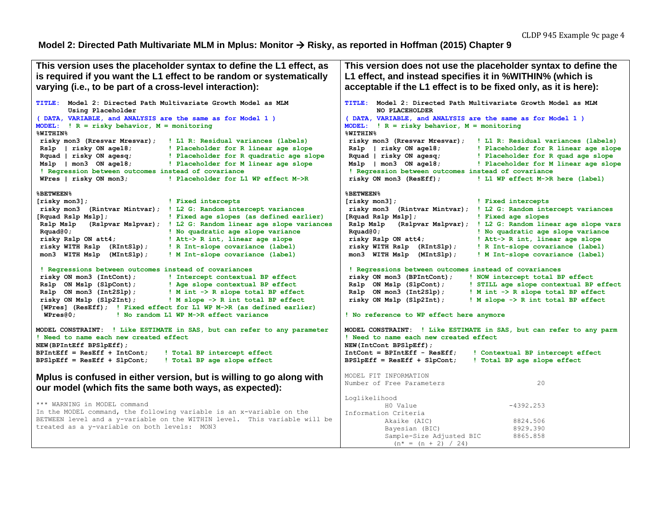#### **Model 2: Directed Path Multivariate MLM in Mplus: Monitor Risky, as reported in Hoffman (2015) Chapter 9**

```
This version uses the placeholder syntax to define the L1 effect, as 
is required if you want the L1 effect to be random or systematically 
varying (i.e., to be part of a cross-level interaction):
TITLE: Model 2: Directed Path Multivariate Growth Model as MLM
        Using Placeholder
( DATA, VARIABLE, and ANALYSIS are the same as for Model 1 )
MODEL: ! R = risky behavior, M = monitoring
%WITHIN%
risky mon3 (Rresvar Mresvar); ! L1 R: Residual variances (labels)
Rslp | risky ON age18; ! Placeholder for R linear age slope
Rquad | risky ON agesq; ! Placeholder for R quadratic age slope
Mslp | mon3 ON age18; ! Placeholder for M linear age slope
 ! Regression between outcomes instead of covariance
WPres | risky ON mon3; ! Placeholder for L1 WP effect M->R
%BETWEEN%
[risky mon3]; ! Fixed intercepts
risky mon3 (Rintvar Mintvar); ! L2 G: Random intercept variances
[Rquad Rslp Mslp]; ! Fixed age slopes (as defined earlier)
Rslp Mslp (Rslpvar Mslpvar); ! L2 G: Random linear age slope variances
Rquad@0; ! No quadratic age slope variance
 risky Rslp ON att4; ! Att-> R int, linear age slope
 risky WITH Rslp (RIntSlp); ! R Int-slope covariance (label)
mon3 WITH Mslp (MIntSlp); ! M Int-slope covariance (label)
 ! Regressions between outcomes instead of covariances
 risky ON mon3 (IntCont); ! Intercept contextual BP effect
Rslp ON Mslp (SlpCont); ! Age slope contextual BP effect
Rslp ON mon3 (Int2Slp); ! M int -> R slope total BP effect
 risky ON Mslp (Slp2Int); ! M slope -> R int total BP effect
 [WPres] (ResEff); ! Fixed effect for L1 WP M->R (as defined earlier)
  WPres@0; ! No random L1 WP M->R effect variance
MODEL CONSTRAINT: ! Like ESTIMATE in SAS, but can refer to any parameter
! Need to name each new created effect
NEW(BPIntEff BPSlpEff);
BPIntEff = ResEff + IntCont; ! Total BP intercept effect
BPSlpEff = ResEff + SlpCont; ! Total BP age slope effect
Mplus is confused in either version, but is willing to go along with 
our model (which fits the same both ways, as expected):
*** WARNING in MODEL command
In the MODEL command, the following variable is an x-variable on the 
BETWEEN level and a y-variable on the WITHIN level. This variable will be 
treated as a y-variable on both levels: MON3
                                                                      This version does not use the placeholder syntax to define the 
                                                                      L1 effect, and instead specifies it in %WITHIN% (which is 
                                                                      acceptable if the L1 effect is to be fixed only, as it is here):
                                                                      TITLE: Model 2: Directed Path Multivariate Growth Model as MLM
                                                                              NO PLACEHOLDER
                                                                      ( DATA, VARIABLE, and ANALYSIS are the same as for Model 1 )
                                                                      MODEL: ! R = risky behavior, M = monitoring
                                                                      %WITHIN%
                                                                       risky mon3 (Rresvar Mresvar); ! L1 R: Residual variances (labels)
                                                                       Rslp | risky ON age18; ! Placeholder for R linear age slope
                                                                       Rquad | risky ON agesq; ! Placeholder for R quad age slope
                                                                       Mslp | mon3 ON age18; ! Placeholder for M linear age slope
                                                                       ! Regression between outcomes instead of covariance
                                                                       risky ON mon3 (ResEff); ! L1 WP effect M->R here (label)
                                                                      %BETWEEN%
                                                                      [risky mon3]; ! Fixed intercepts
                                                                      risky mon3 (Rintvar Mintvar); ! L2 G: Random intercept variances
                                                                      [Rquad Rslp Mslp]; ! Fixed age slopes
                                                                      Rslp Mslp (Rslpvar Mslpvar); ! L2 G: Random linear age slope vars
                                                                       Rquad@0; ! No quadratic age slope variance
                                                                       risky Rslp ON att4; ! Att-> R int, linear age slope
                                                                       risky WITH Rslp (RIntSlp); ! R Int-slope covariance (label)
                                                                       mon3 WITH Mslp (MIntSlp); ! M Int-slope covariance (label)
                                                                       ! Regressions between outcomes instead of covariances
                                                                       risky ON mon3 (BPIntCont); ! NOW intercept total BP effect
                                                                       Rslp ON Mslp (SlpCont); ! STILL age slope contextual BP effect
                                                                       Rslp ON mon3 (Int2Slp); ! M int -> R slope total BP effect
                                                                       risky ON Mslp (Slp2Int); ! M slope -> R int total BP effect
                                                                      ! No reference to WP effect here anymore
                                                                      MODEL CONSTRAINT: ! Like ESTIMATE in SAS, but can refer to any parm
                                                                      ! Need to name each new created effect
                                                                      NEW(IntCont BPSlpEff);
                                                                      IntCont = BPIntEff - ResEff; ! Contextual BP intercept effect
                                                                      BPSlpEff = ResEff + SlpCont; ! Total BP age slope effect
                                                                      MODEL FIT INFORMATION
                                                                      Number of Free Parameters 20
                                                                      Loglikelihood
                                                                                H0 Value -4392.253
                                                                      Information Criteria
                                                                                Akaike (AIC) 8824.506
                                                                               Bayesian (BIC) 8929.390
                                                                               Sample-Size Adjusted BIC 8865.858
                                                                               (n^* = (n + 2) / 24)
```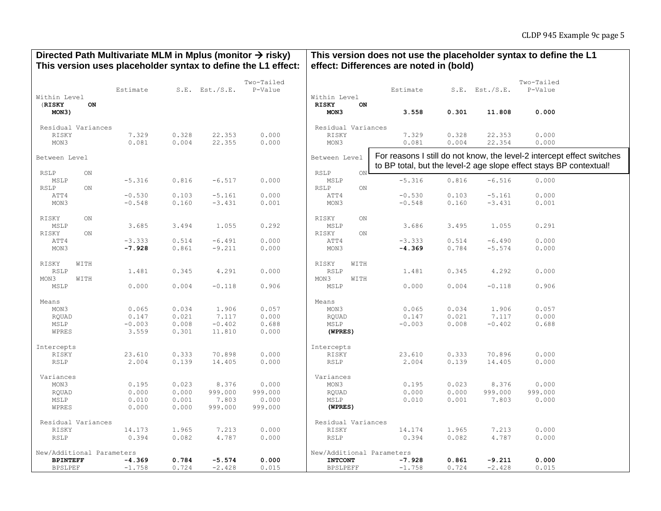### Directed Path Multivariate MLM in Mplus (monitor  $\rightarrow$  risky) **This version uses placeholder syntax to define the L1 effect:**

## **This version does not use the placeholder syntax to define the L1 effect: Differences are noted in (bold)**

|                                               | Estimate |       | $S.E.$ Est./S.E. | Two-Tailed<br>P-Value |                                      | Estimate                                                                                                                                     |       | $S.E.$ Est./S.E. | Two-Tailed<br>P-Value |  |
|-----------------------------------------------|----------|-------|------------------|-----------------------|--------------------------------------|----------------------------------------------------------------------------------------------------------------------------------------------|-------|------------------|-----------------------|--|
| Within Level<br>(RISKY<br>ON                  |          |       |                  |                       | Within Level<br><b>RISKY</b><br>ON   |                                                                                                                                              |       |                  |                       |  |
| MON3)                                         |          |       |                  |                       | MON3                                 | 3.558                                                                                                                                        | 0.301 | 11.808           | 0.000                 |  |
| Residual Variances                            |          |       |                  |                       | Residual Variances                   |                                                                                                                                              |       |                  |                       |  |
| RISKY                                         | 7.329    | 0.328 | 22.353           | 0.000                 | RISKY                                | 7.329                                                                                                                                        | 0.328 | 22.353           | 0.000                 |  |
| MON3                                          | 0.081    | 0.004 | 22.355           | 0.000                 | MON3                                 | 0.081                                                                                                                                        | 0.004 | 22.354           | 0.000                 |  |
| Between Level                                 |          |       |                  |                       | Between Level                        | For reasons I still do not know, the level-2 intercept effect switches<br>to BP total, but the level-2 age slope effect stays BP contextual! |       |                  |                       |  |
| <b>RSLP</b><br>ON                             |          |       |                  |                       | RSLP<br>$_{\rm ON}$ I                |                                                                                                                                              |       |                  |                       |  |
| MSLP                                          | $-5.316$ | 0.816 | $-6.517$         | 0.000                 | MSLP                                 | $-5.316$                                                                                                                                     | 0.816 | $-6.516$         | 0.000                 |  |
| <b>RSLP</b><br>$\mathbb{O}\mathbf{N}$<br>ATT4 | $-0.530$ | 0.103 | $-5.161$         | 0.000                 | $\mathsf{ON}\xspace$<br>RSLP<br>ATT4 | $-0.530$                                                                                                                                     | 0.103 | $-5.161$         | 0.000                 |  |
| MON3                                          | $-0.548$ | 0.160 | $-3.431$         | 0.001                 | MON3                                 | $-0.548$                                                                                                                                     | 0.160 | $-3.431$         | 0.001                 |  |
|                                               |          |       |                  |                       |                                      |                                                                                                                                              |       |                  |                       |  |
| RISKY<br>ON                                   |          |       |                  |                       | RISKY<br>ON                          |                                                                                                                                              |       |                  |                       |  |
| MSLP                                          | 3.685    | 3.494 | 1.055            | 0.292                 | MSLP                                 | 3.686                                                                                                                                        | 3.495 | 1.055            | 0.291                 |  |
| RISKY<br>ON                                   |          |       |                  |                       | RISKY<br>ON                          |                                                                                                                                              |       |                  |                       |  |
| ATT4                                          | $-3.333$ | 0.514 | $-6.491$         | 0.000                 | ATT4                                 | $-3.333$                                                                                                                                     | 0.514 | $-6.490$         | 0.000                 |  |
| MON3                                          | $-7.928$ | 0.861 | $-9.211$         | 0.000                 | MON3                                 | $-4.369$                                                                                                                                     | 0.784 | $-5.574$         | 0.000                 |  |
| RISKY<br>WITH                                 |          |       |                  |                       | RISKY<br>WITH                        |                                                                                                                                              |       |                  |                       |  |
| RSLP                                          | 1.481    | 0.345 | 4.291            | 0.000                 | <b>RSLP</b>                          | 1.481                                                                                                                                        | 0.345 | 4.292            | 0.000                 |  |
| MON3<br>WITH                                  |          |       |                  |                       | MON3<br>WITH                         |                                                                                                                                              |       |                  |                       |  |
| MSLP                                          | 0.000    | 0.004 | $-0.118$         | 0.906                 | MSLP                                 | 0.000                                                                                                                                        | 0.004 | $-0.118$         | 0.906                 |  |
|                                               |          |       |                  |                       |                                      |                                                                                                                                              |       |                  |                       |  |
| Means<br>MON3                                 | 0.065    | 0.034 | 1.906            | 0.057                 | Means<br>MON3                        | 0.065                                                                                                                                        | 0.034 | 1.906            | 0.057                 |  |
| RQUAD                                         | 0.147    | 0.021 | 7.117            | 0.000                 | RQUAD                                | 0.147                                                                                                                                        | 0.021 | 7.117            | 0.000                 |  |
| MSLP                                          | $-0.003$ | 0.008 | $-0.402$         | 0.688                 | MSLP                                 | $-0.003$                                                                                                                                     | 0.008 | $-0.402$         | 0.688                 |  |
| WPRES                                         | 3.559    | 0.301 | 11.810           | 0.000                 | (WPRES)                              |                                                                                                                                              |       |                  |                       |  |
|                                               |          |       |                  |                       |                                      |                                                                                                                                              |       |                  |                       |  |
| Intercepts                                    |          |       |                  |                       | Intercepts                           |                                                                                                                                              |       |                  |                       |  |
| RISKY                                         | 23.610   | 0.333 | 70.898           | 0.000                 | RISKY                                | 23.610                                                                                                                                       | 0.333 | 70.896           | 0.000                 |  |
| <b>RSLP</b>                                   | 2.004    | 0.139 | 14.405           | 0.000                 | RSLP                                 | 2.004                                                                                                                                        | 0.139 | 14.405           | 0.000                 |  |
| Variances                                     |          |       |                  |                       | Variances                            |                                                                                                                                              |       |                  |                       |  |
| MON3                                          | 0.195    | 0.023 | 8.376            | 0.000                 | MON3                                 | 0.195                                                                                                                                        | 0.023 | 8.376            | 0.000                 |  |
| RQUAD                                         | 0.000    | 0.000 | 999.000          | 999.000               | RQUAD                                | 0.000                                                                                                                                        | 0.000 | 999.000          | 999.000               |  |
| MSLP                                          | 0.010    | 0.001 | 7.803            | 0.000                 | MSLP                                 | 0.010                                                                                                                                        | 0.001 | 7.803            | 0.000                 |  |
| WPRES                                         | 0.000    | 0.000 | 999.000          | 999.000               | (WPRES)                              |                                                                                                                                              |       |                  |                       |  |
| Residual Variances                            |          |       |                  | Residual Variances    |                                      |                                                                                                                                              |       |                  |                       |  |
| RISKY                                         | 14.173   | 1.965 | 7.213            | 0.000                 | RISKY                                | 14.174                                                                                                                                       | 1.965 | 7.213            | 0.000                 |  |
| RSLP                                          | 0.394    | 0.082 | 4.787            | 0.000                 | RSLP                                 | 0.394                                                                                                                                        | 0.082 | 4.787            | 0.000                 |  |
|                                               |          |       |                  |                       |                                      |                                                                                                                                              |       |                  |                       |  |
| New/Additional Parameters                     |          |       |                  |                       | New/Additional Parameters            |                                                                                                                                              |       |                  |                       |  |
| <b>BPINTEFF</b>                               | $-4.369$ | 0.784 | $-5.574$         | 0.000                 | <b>INTCONT</b>                       | $-7.928$                                                                                                                                     | 0.861 | $-9.211$         | 0.000                 |  |
| <b>BPSLPEF</b>                                | $-1.758$ | 0.724 | $-2.428$         | 0.015                 | <b>BPSLPEFF</b>                      | $-1.758$                                                                                                                                     | 0.724 | $-2.428$         | 0.015                 |  |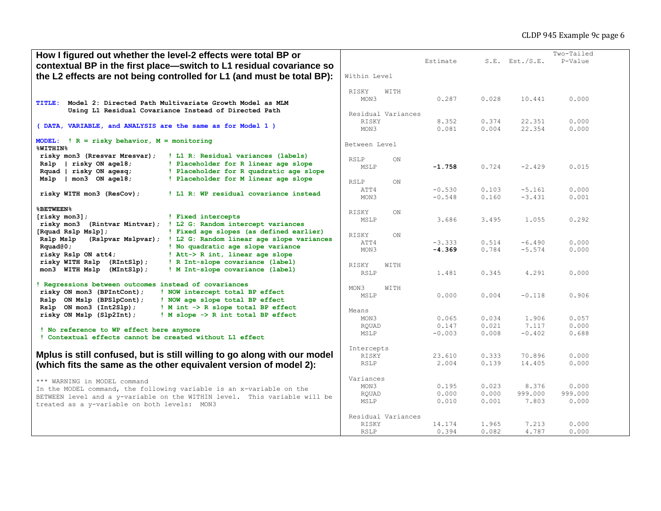| How I figured out whether the level-2 effects were total BP or                                           |                    |      |          |       |                     | Two-Tailed |
|----------------------------------------------------------------------------------------------------------|--------------------|------|----------|-------|---------------------|------------|
| contextual BP in the first place-switch to L1 residual covariance so                                     |                    |      | Estimate |       | $S.E.$ Est./ $S.E.$ | P-Value    |
|                                                                                                          |                    |      |          |       |                     |            |
| the L2 effects are not being controlled for L1 (and must be total BP):                                   | Within Level       |      |          |       |                     |            |
|                                                                                                          |                    |      |          |       |                     |            |
|                                                                                                          | RISKY              | WITH |          |       |                     |            |
| <b>TITLE:</b><br>Model 2: Directed Path Multivariate Growth Model as MLM                                 | MON3               |      | 0.287    | 0.028 | 10.441              | 0.000      |
| Using L1 Residual Covariance Instead of Directed Path                                                    |                    |      |          |       |                     |            |
|                                                                                                          | Residual Variances |      |          |       |                     |            |
| (DATA, VARIABLE, and ANALYSIS are the same as for Model 1)                                               | RISKY              |      | 8.352    | 0.374 | 22.351              | 0.000      |
|                                                                                                          | MON3               |      | 0.081    | 0.004 | 22.354              | 0.000      |
| MODEL: $! R = risky behavior, M = monitoring$                                                            |                    |      |          |       |                     |            |
| <b>%WITHIN%</b>                                                                                          | Between Level      |      |          |       |                     |            |
| risky mon3 (Rresvar Mresvar);<br>! L1 R: Residual variances (labels)                                     |                    |      |          |       |                     |            |
| risky ON age18;<br>! Placeholder for R linear age slope<br>Rslp                                          | <b>RSLP</b>        | ON   |          |       |                     |            |
| ! Placeholder for R quadratic age slope<br>Rquad   risky ON aqesq;                                       | MSLP               |      | $-1.758$ | 0.724 | $-2.429$            | 0.015      |
| $\mid$ mon3 ON age18;<br>! Placeholder for M linear age slope                                            |                    |      |          |       |                     |            |
| Mslp                                                                                                     | RSLP               | ON   |          |       |                     |            |
| ! L1 R: WP residual covariance instead                                                                   | ATT4               |      | $-0.530$ | 0.103 | $-5.161$            | 0.000      |
| risky WITH mon3 (ResCov);                                                                                | MON3               |      | $-0.548$ | 0.160 | $-3.431$            | 0.001      |
| <b>&amp;BETWEEN%</b>                                                                                     |                    |      |          |       |                     |            |
|                                                                                                          | RISKY              | ON   |          |       |                     |            |
| $[\text{risky mon3}]:$<br>! Fixed intercepts<br>! L2 G: Random intercept variances<br>(Rintvar Mintvar); | MSLP               |      | 3.686    | 3.495 | 1.055               | 0.292      |
| risky mon3                                                                                               |                    |      |          |       |                     |            |
| [Rquad Rslp Mslp];<br>! Fixed age slopes (as defined earlier)                                            | RISKY              | ON   |          |       |                     |            |
| (Rslpvar Mslpvar); ! L2 G: Random linear age slope variances<br>Rslp Mslp                                | ATT4               |      | $-3.333$ | 0.514 | $-6.490$            | 0.000      |
| ! No quadratic age slope variance<br>Rquad@0;                                                            | MON3               |      | $-4.369$ | 0.784 | $-5.574$            | 0.000      |
| ! Att-> R int, linear age slope<br>risky Rslp ON att4;                                                   |                    |      |          |       |                     |            |
| risky WITH Rslp (RIntSlp);<br>! R Int-slope covariance (label)                                           | RISKY              | WITH |          |       |                     |            |
| ! M Int-slope covariance (label)<br>mon3 WITH Mslp (MIntSlp);                                            | <b>RSLP</b>        |      | 1.481    | 0.345 | 4.291               | 0.000      |
|                                                                                                          |                    |      |          |       |                     |            |
| ! Regressions between outcomes instead of covariances                                                    | MON3               | WITH |          |       |                     |            |
| risky ON mon3 (BPIntCont);<br>! NOW intercept total BP effect                                            | MSLP               |      | 0.000    | 0.004 | $-0.118$            | 0.906      |
| Rslp ON Mslp (BPSlpCont);<br>! NOW age slope total BP effect                                             |                    |      |          |       |                     |            |
| Rslp ON mon3 (Int2Slp);<br>! M int -> R slope total BP effect                                            | Means              |      |          |       |                     |            |
| ! M slope -> R int total BP effect<br>risky ON Mslp (Slp2Int);                                           | MON3               |      | 0.065    | 0.034 | 1.906               | 0.057      |
|                                                                                                          | RQUAD              |      | 0.147    | 0.021 | 7.117               | 0.000      |
| ! No reference to WP effect here anymore<br>! Contextual effects cannot be created without L1 effect     | MSLP               |      | $-0.003$ | 0.008 | $-0.402$            | 0.688      |
|                                                                                                          |                    |      |          |       |                     |            |
|                                                                                                          | Intercepts         |      |          |       |                     |            |
| Mplus is still confused, but is still willing to go along with our model                                 | RISKY              |      | 23.610   | 0.333 | 70.896              | 0.000      |
| (which fits the same as the other equivalent version of model 2):                                        | RSLP               |      | 2.004    | 0.139 | 14.405              | 0.000      |
|                                                                                                          |                    |      |          |       |                     |            |
| *** WARNING in MODEL command                                                                             | Variances          |      |          |       |                     |            |
| In the MODEL command, the following variable is an x-variable on the                                     | MON3               |      | 0.195    | 0.023 | 8.376               | 0.000      |
| BETWEEN level and a y-variable on the WITHIN level. This variable will be                                | RQUAD              |      | 0.000    | 0.000 | 999.000             | 999.000    |
| treated as a y-variable on both levels: MON3                                                             | MSLP               |      | 0.010    | 0.001 | 7.803               | 0.000      |
|                                                                                                          |                    |      |          |       |                     |            |
|                                                                                                          | Residual Variances |      |          |       |                     |            |
|                                                                                                          | RISKY              |      | 14.174   | 1.965 | 7.213               | 0.000      |
|                                                                                                          | RSLP               |      | 0.394    | 0.082 | 4,787               | 0.000      |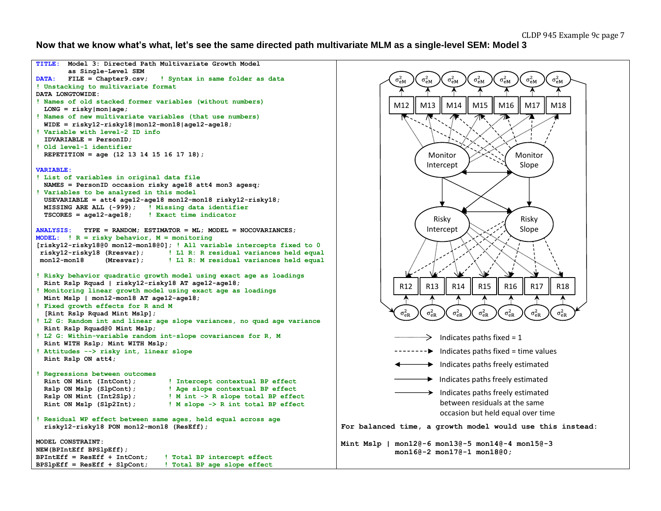#### **Now that we know what's what, let's see the same directed path multivariate MLM as a single-level SEM: Model 3**

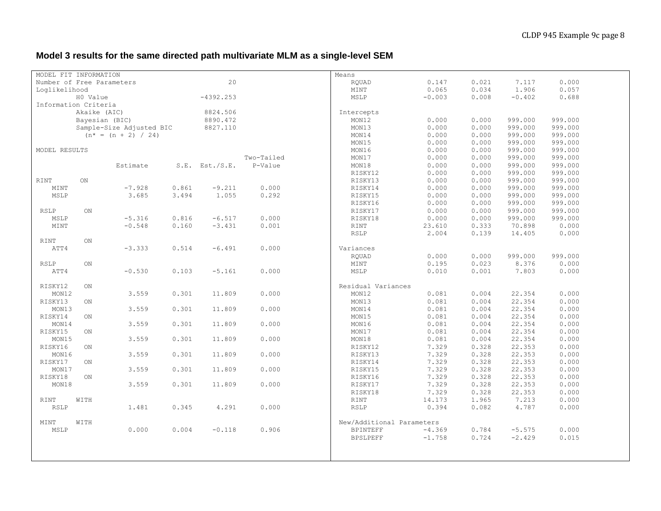# **Model 3 results for the same directed path multivariate MLM as a single-level SEM**

| MODEL FIT INFORMATION |              |                           |       |                     |            | Means                     |          |       |          |         |  |
|-----------------------|--------------|---------------------------|-------|---------------------|------------|---------------------------|----------|-------|----------|---------|--|
|                       |              | Number of Free Parameters |       | 20                  |            | ROUAD                     | 0.147    | 0.021 | 7.117    | 0.000   |  |
| Loglikelihood         |              |                           |       |                     |            | MINT                      | 0.065    | 0.034 | 1.906    | 0.057   |  |
|                       |              |                           |       |                     |            |                           |          | 0.008 |          |         |  |
|                       | H0 Value     |                           |       | $-4392.253$         |            | MSLP                      | $-0.003$ |       | $-0.402$ | 0.688   |  |
| Information Criteria  |              |                           |       |                     |            |                           |          |       |          |         |  |
|                       | Akaike (AIC) |                           |       | 8824.506            |            | Intercepts                |          |       |          |         |  |
|                       |              | Bayesian (BIC)            |       | 8890.472            |            | MON12                     | 0.000    | 0.000 | 999.000  | 999.000 |  |
|                       |              | Sample-Size Adjusted BIC  |       | 8827.110            |            | MON13                     | 0.000    | 0.000 | 999.000  | 999.000 |  |
|                       |              | $(n* = (n + 2) / 24)$     |       |                     |            | MON14                     | 0.000    | 0.000 | 999.000  | 999.000 |  |
|                       |              |                           |       |                     |            | MON15                     | 0.000    | 0.000 | 999.000  | 999.000 |  |
| MODEL RESULTS         |              |                           |       |                     |            | MON16                     | 0.000    | 0.000 | 999.000  | 999.000 |  |
|                       |              |                           |       |                     | Two-Tailed | MON17                     | 0.000    | 0.000 | 999.000  | 999.000 |  |
|                       |              | Estimate                  |       | $S.E.$ Est./ $S.E.$ | P-Value    | MON18                     | 0.000    | 0.000 | 999.000  | 999.000 |  |
|                       |              |                           |       |                     |            | RISKY12                   | 0.000    | 0.000 | 999.000  | 999.000 |  |
| RINT                  | ON           |                           |       |                     |            | RISKY13                   | 0.000    | 0.000 | 999.000  | 999.000 |  |
| MINT                  |              | $-7.928$                  | 0.861 | $-9.211$            | 0.000      | RISKY14                   | 0.000    | 0.000 | 999.000  | 999.000 |  |
| MSLP                  |              | 3.685                     | 3.494 | 1.055               | 0.292      | RISKY15                   | 0.000    | 0.000 | 999.000  | 999.000 |  |
|                       |              |                           |       |                     |            | RISKY16                   | 0.000    | 0.000 | 999.000  | 999.000 |  |
| RSLP                  | ON           |                           |       |                     |            | RISKY17                   | 0.000    | 0.000 | 999.000  | 999.000 |  |
| MSLP                  |              | $-5.316$                  | 0.816 | $-6.517$            | 0.000      | RISKY18                   | 0.000    | 0.000 | 999.000  | 999.000 |  |
| MINT                  |              | $-0.548$                  | 0.160 | $-3.431$            | 0.001      | RINT                      | 23.610   | 0.333 | 70.898   | 0.000   |  |
|                       |              |                           |       |                     |            | RSLP                      | 2.004    | 0.139 | 14.405   | 0.000   |  |
| RINT                  | ON           |                           |       |                     |            |                           |          |       |          |         |  |
|                       |              |                           |       |                     |            |                           |          |       |          |         |  |
| ATT4                  |              | $-3.333$                  | 0.514 | $-6.491$            | 0.000      | Variances                 |          |       |          |         |  |
|                       |              |                           |       |                     |            | RQUAD                     | 0.000    | 0.000 | 999.000  | 999.000 |  |
| RSLP                  | ON           |                           |       |                     |            | MINT                      | 0.195    | 0.023 | 8.376    | 0.000   |  |
| ATT4                  |              | $-0.530$                  | 0.103 | $-5.161$            | 0.000      | MSLP                      | 0.010    | 0.001 | 7.803    | 0.000   |  |
|                       |              |                           |       |                     |            |                           |          |       |          |         |  |
| RISKY12               | ON           |                           |       |                     |            | Residual Variances        |          |       |          |         |  |
| MON12                 |              | 3.559                     | 0.301 | 11.809              | 0.000      | MON12                     | 0.081    | 0.004 | 22.354   | 0.000   |  |
| RISKY13               | ON           |                           |       |                     |            | MON13                     | 0.081    | 0.004 | 22.354   | 0.000   |  |
| MON13                 |              | 3.559                     | 0.301 | 11.809              | 0.000      | MON14                     | 0.081    | 0.004 | 22.354   | 0.000   |  |
| RISKY14               | ON           |                           |       |                     |            | MON15                     | 0.081    | 0.004 | 22.354   | 0.000   |  |
| MON14                 |              | 3.559                     | 0.301 | 11.809              | 0.000      | MON16                     | 0.081    | 0.004 | 22.354   | 0.000   |  |
| RISKY15               | ON           |                           |       |                     |            | MON17                     | 0.081    | 0.004 | 22.354   | 0.000   |  |
| MON15                 |              | 3.559                     | 0.301 | 11.809              | 0.000      | MON18                     | 0.081    | 0.004 | 22.354   | 0.000   |  |
| RISKY16               | ON           |                           |       |                     |            | RISKY12                   | 7.329    | 0.328 | 22.353   | 0.000   |  |
| MON16                 |              | 3.559                     | 0.301 | 11.809              | 0.000      | RISKY13                   | 7.329    | 0.328 | 22.353   | 0.000   |  |
| RISKY17               | ON           |                           |       |                     |            | RISKY14                   | 7.329    | 0.328 | 22.353   | 0.000   |  |
| MON17                 |              | 3.559                     | 0.301 | 11.809              | 0.000      | RISKY15                   | 7.329    | 0.328 | 22.353   | 0.000   |  |
| RISKY18               | ON           |                           |       |                     |            | RISKY16                   | 7.329    | 0.328 | 22.353   | 0.000   |  |
| MON18                 |              | 3.559                     | 0.301 | 11.809              | 0.000      | RISKY17                   | 7.329    | 0.328 | 22.353   | 0.000   |  |
|                       |              |                           |       |                     |            | RISKY18                   | 7.329    | 0.328 | 22.353   | 0.000   |  |
| RINT                  | WITH         |                           |       |                     |            | RINT                      | 14.173   | 1.965 | 7.213    | 0.000   |  |
| RSLP                  |              | 1.481                     | 0.345 | 4.291               | 0.000      | RSLP                      | 0.394    | 0.082 | 4.787    | 0.000   |  |
|                       |              |                           |       |                     |            |                           |          |       |          |         |  |
| MINT                  | WITH         |                           |       |                     |            | New/Additional Parameters |          |       |          |         |  |
| MSLP                  |              | 0.000                     | 0.004 | $-0.118$            | 0.906      | <b>BPINTEFF</b>           | $-4.369$ | 0.784 | $-5.575$ | 0.000   |  |
|                       |              |                           |       |                     |            | <b>BPSLPEFF</b>           | $-1.758$ | 0.724 | $-2.429$ | 0.015   |  |
|                       |              |                           |       |                     |            |                           |          |       |          |         |  |
|                       |              |                           |       |                     |            |                           |          |       |          |         |  |
|                       |              |                           |       |                     |            |                           |          |       |          |         |  |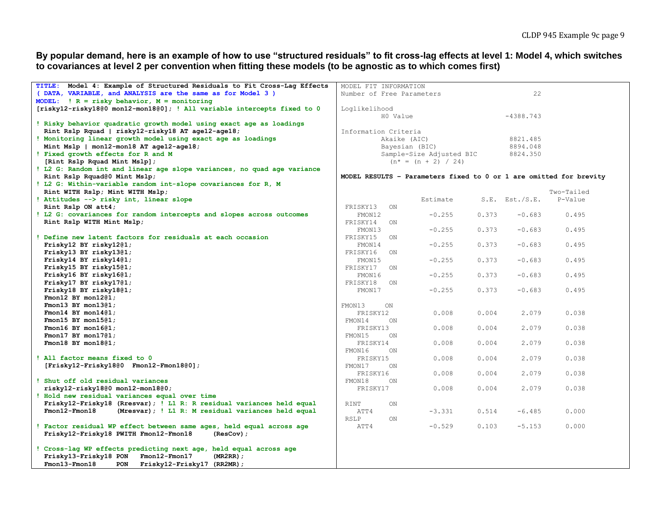**By popular demand, here is an example of how to use "structured residuals" to fit cross-lag effects at level 1: Model 4, which switches to covariances at level 2 per convention when fitting these models (to be agnostic as to which comes first)**

| TITLE: Model 4: Example of Structured Residuals to Fit Cross-Laq Effects | MODEL FIT INFORMATION     |     |                          |       |                     |                                                                    |
|--------------------------------------------------------------------------|---------------------------|-----|--------------------------|-------|---------------------|--------------------------------------------------------------------|
| (DATA, VARIABLE, and ANALYSIS are the same as for Model 3)               |                           |     |                          | 22    |                     |                                                                    |
| MODEL: $\vert R =$ risky behavior, $M =$ monitoring                      | Number of Free Parameters |     |                          |       |                     |                                                                    |
| [risky12-risky18@0 mon12-mon18@0]; ! All variable intercepts fixed to 0  | Loglikelihood             |     |                          |       |                     |                                                                    |
|                                                                          |                           |     | HO Value                 |       | $-4388.743$         |                                                                    |
| ! Risky behavior quadratic growth model using exact age as loadings      |                           |     |                          |       |                     |                                                                    |
| Rint Rslp Rquad   risky12-risky18 AT age12-age18;                        |                           |     |                          |       |                     |                                                                    |
|                                                                          | Information Criteria      |     |                          |       |                     |                                                                    |
| ! Monitoring linear growth model using exact age as loadings             |                           |     | Akaike (AIC)             |       | 8821.485            |                                                                    |
| Mint Mslp   mon12-mon18 AT age12-age18;                                  |                           |     | Bayesian (BIC)           |       | 8894.048            |                                                                    |
| ! Fixed growth effects for R and M                                       |                           |     | Sample-Size Adjusted BIC |       | 8824.350            |                                                                    |
| [Rint Rslp Rquad Mint Mslp];                                             |                           |     | $(n* = (n + 2) / 24)$    |       |                     |                                                                    |
| ! L2 G: Random int and linear age slope variances, no quad age variance  |                           |     |                          |       |                     |                                                                    |
| Rint Rslp Rquad@0 Mint Mslp;                                             |                           |     |                          |       |                     | MODEL RESULTS - Parameters fixed to 0 or 1 are omitted for brevity |
| ! L2 G: Within-variable random int-slope covariances for R, M            |                           |     |                          |       |                     |                                                                    |
| Rint WITH Rslp; Mint WITH Mslp;                                          |                           |     |                          |       |                     | Two-Tailed                                                         |
| ! Attitudes --> risky int, linear slope                                  |                           |     | Estimate                 |       | $S.E.$ Est./ $S.E.$ | P-Value                                                            |
| Rint Rslp ON att4;                                                       | FRISKY13                  | ON  |                          |       |                     |                                                                    |
| ! L2 G: covariances for random intercepts and slopes across outcomes     | FMON12                    |     | $-0.255$                 | 0.373 | $-0.683$            | 0.495                                                              |
| Rint Rslp WITH Mint Mslp;                                                | FRISKY14                  | ON  |                          |       |                     |                                                                    |
|                                                                          | FMON13                    |     | $-0.255$                 | 0.373 | $-0.683$            | 0.495                                                              |
| Define new latent factors for residuals at each occasion                 | FRISKY15                  | ON  |                          |       |                     |                                                                    |
| Frisky12 BY risky1201;                                                   | FMON14                    |     | $-0.255$                 | 0.373 | $-0.683$            | 0.495                                                              |
| Frisky13 BY risky1301;                                                   | FRISKY16                  | ON  |                          |       |                     |                                                                    |
| Frisky14 BY risky14@1;                                                   | FMON15                    |     | $-0.255$                 | 0.373 | $-0.683$            | 0.495                                                              |
| Frisky15 BY risky1501;                                                   | FRISKY17                  | ON  |                          |       |                     |                                                                    |
| Frisky16 BY risky1601;                                                   | FMON16                    |     | $-0.255$                 | 0.373 | $-0.683$            | 0.495                                                              |
| Frisky17 BY risky1701;                                                   | FRISKY18                  | ON  |                          |       |                     |                                                                    |
| Frisky18 BY risky1801;                                                   | FMON17                    |     | $-0.255$                 | 0.373 | $-0.683$            | 0.495                                                              |
| Fmon12 BY mon12@1;                                                       |                           |     |                          |       |                     |                                                                    |
| Fmon13 BY mon13@1;                                                       | FMON13                    | ON  |                          |       |                     |                                                                    |
| Fmon14 BY mon14@1;                                                       | FRISKY12                  |     | 0.008                    | 0.004 | 2.079               | 0.038                                                              |
| Fmon15 BY mon15@1;                                                       | FMON14                    | ON  |                          |       |                     |                                                                    |
| Fmon16 BY mon16@1;                                                       | FRISKY13                  |     | 0.008                    | 0.004 | 2.079               | 0.038                                                              |
| Fmon17 BY mon17@1;                                                       | FMON15                    | ON  |                          |       |                     |                                                                    |
| Fmon18 BY mon18@1;                                                       | FRISKY14                  |     | 0.008                    | 0.004 | 2.079               | 0.038                                                              |
|                                                                          | FMON16                    | ON  |                          |       |                     |                                                                    |
| ! All factor means fixed to 0                                            | FRISKY15                  |     | 0.008                    | 0.004 | 2.079               | 0.038                                                              |
| [Frisky12-Frisky1800 Fmon12-Fmon1800];                                   | FMON17                    | ON  |                          |       |                     |                                                                    |
|                                                                          | FRISKY16                  |     | 0.008                    | 0.004 | 2.079               | 0.038                                                              |
| Shut off old residual variances                                          | FMON18                    | ON. |                          |       |                     |                                                                    |
| risky12-risky1800 mon12-mon1800;                                         | FRISKY17                  |     | 0.008                    | 0.004 | 2.079               | 0.038                                                              |
| Hold new residual variances equal over time                              |                           |     |                          |       |                     |                                                                    |
| Frisky12-Frisky18 (Rresvar); ! L1 R: R residual variances held equal     | RINT                      | ON. |                          |       |                     |                                                                    |
| $Fmon12-Fmon18$<br>(Mresvar) ; ! L1 R: M residual variances held equal   | ATT4                      |     | $-3.331$                 | 0.514 | $-6.485$            | 0.000                                                              |
|                                                                          | RSLP                      | ON  |                          |       |                     |                                                                    |
| Factor residual WP effect between same ages, held equal across age       | ATT4                      |     | $-0.529$                 | 0.103 | $-5.153$            | 0.000                                                              |
| Frisky12-Frisky18 PWITH Fmon12-Fmon18<br>$(ResCov)$ ;                    |                           |     |                          |       |                     |                                                                    |
|                                                                          |                           |     |                          |       |                     |                                                                    |
| Cross-lag WP effects predicting next age, held equal across age          |                           |     |                          |       |                     |                                                                    |
| Frisky13-Frisky18 PON<br>$Fmon12-Fmon17$<br>$(MR2RR)$ ;                  |                           |     |                          |       |                     |                                                                    |
| $Fmon13-Fmon18$<br><b>PON</b><br>Frisky12-Frisky17 (RR2MR);              |                           |     |                          |       |                     |                                                                    |